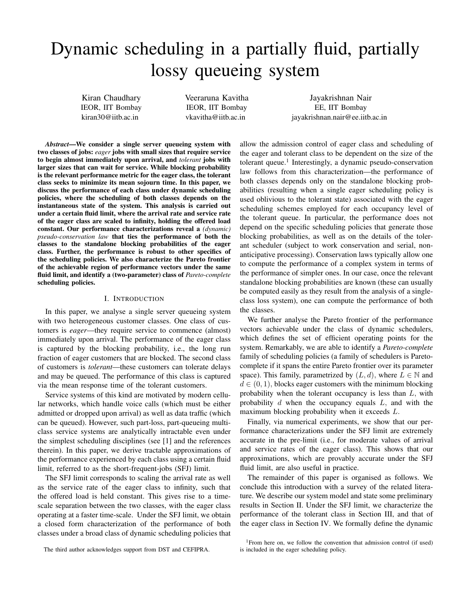# Dynamic scheduling in a partially fluid, partially lossy queueing system

Kiran Chaudhary IEOR, IIT Bombay kiran30@iitb.ac.in

Veeraruna Kavitha IEOR, IIT Bombay vkavitha@iitb.ac.in

Jayakrishnan Nair EE, IIT Bombay jayakrishnan.nair@ee.iitb.ac.in

*Abstract*—We consider a single server queueing system with two classes of jobs: *eager* jobs with small sizes that require service to begin almost immediately upon arrival, and *tolerant* jobs with larger sizes that can wait for service. While blocking probability is the relevant performance metric for the eager class, the tolerant class seeks to minimize its mean sojourn time. In this paper, we discuss the performance of each class under dynamic scheduling policies, where the scheduling of both classes depends on the instantaneous state of the system. This analysis is carried out under a certain fluid limit, where the arrival rate and service rate of the eager class are scaled to infinity, holding the offered load constant. Our performance characterizations reveal a *(dynamic) pseudo-conservation law* that ties the performance of both the classes to the standalone blocking probabilities of the eager class. Further, the performance is robust to other specifics of the scheduling policies. We also characterize the Pareto frontier of the achievable region of performance vectors under the same fluid limit, and identify a (two-parameter) class of *Pareto-complete* scheduling policies.

#### I. INTRODUCTION

In this paper, we analyse a single server queueing system with two heterogeneous customer classes. One class of customers is *eager*—they require service to commence (almost) immediately upon arrival. The performance of the eager class is captured by the blocking probability, i.e., the long run fraction of eager customers that are blocked. The second class of customers is *tolerant*—these customers can tolerate delays and may be queued. The performance of this class is captured via the mean response time of the tolerant customers.

Service systems of this kind are motivated by modern cellular networks, which handle voice calls (which must be either admitted or dropped upon arrival) as well as data traffic (which can be queued). However, such part-loss, part-queueing multiclass service systems are analytically intractable even under the simplest scheduling disciplines (see [1] and the references therein). In this paper, we derive tractable approximations of the performance experienced by each class using a certain fluid limit, referred to as the short-frequent-jobs (SFJ) limit.

The SFJ limit corresponds to scaling the arrival rate as well as the service rate of the eager class to infinity, such that the offered load is held constant. This gives rise to a timescale separation between the two classes, with the eager class operating at a faster time-scale. Under the SFJ limit, we obtain a closed form characterization of the performance of both classes under a broad class of dynamic scheduling policies that allow the admission control of eager class and scheduling of the eager and tolerant class to be dependent on the size of the tolerant queue.<sup>1</sup> Interestingly, a dynamic pseudo-conservation law follows from this characterization—the performance of both classes depends only on the standalone blocking probabilities (resulting when a single eager scheduling policy is used oblivious to the tolerant state) associated with the eager scheduling schemes employed for each occupancy level of the tolerant queue. In particular, the performance does not depend on the specific scheduling policies that generate those blocking probabilities, as well as on the details of the tolerant scheduler (subject to work conservation and serial, nonanticipative processing). Conservation laws typically allow one to compute the performance of a complex system in terms of the performance of simpler ones. In our case, once the relevant standalone blocking probabilities are known (these can usually be computed easily as they result from the analysis of a singleclass loss system), one can compute the performance of both the classes.

We further analyse the Pareto frontier of the performance vectors achievable under the class of dynamic schedulers, which defines the set of efficient operating points for the system. Remarkably, we are able to identify a *Pareto-complete* family of scheduling policies (a family of schedulers is Paretocomplete if it spans the entire Pareto frontier over its parameter space). This family, parametrized by  $(L, d)$ , where  $L \in \mathbb{N}$  and  $d \in (0, 1)$ , blocks eager customers with the minimum blocking probability when the tolerant occupancy is less than  $L$ , with probability  $d$  when the occupancy equals  $L$ , and with the maximum blocking probability when it exceeds L.

Finally, via numerical experiments, we show that our performance characterizations under the SFJ limit are extremely accurate in the pre-limit (i.e., for moderate values of arrival and service rates of the eager class). This shows that our approximations, which are provably accurate under the SFJ fluid limit, are also useful in practice.

The remainder of this paper is organised as follows. We conclude this introduction with a survey of the related literature. We describe our system model and state some preliminary results in Section II. Under the SFJ limit, we characterize the performance of the tolerant class in Section III, and that of the eager class in Section IV. We formally define the dynamic

The third author acknowledges support from DST and CEFIPRA.

<sup>&</sup>lt;sup>1</sup>From here on, we follow the convention that admission control (if used) is included in the eager scheduling policy.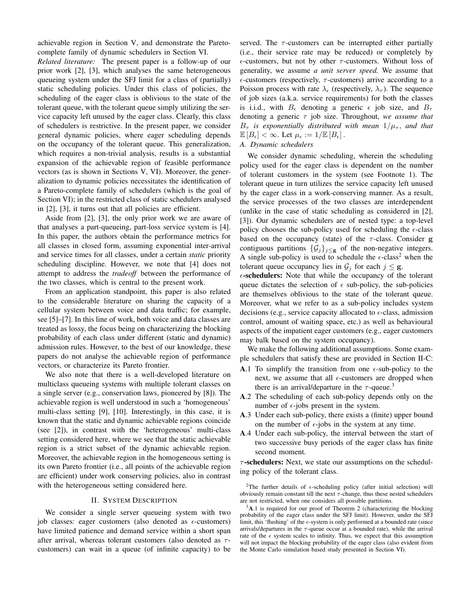achievable region in Section V, and demonstrate the Paretocomplete family of dynamic schedulers in Section VI.

*Related literature:* The present paper is a follow-up of our prior work [2], [3], which analyses the same heterogeneous queueing system under the SFJ limit for a class of (partially) static scheduling policies. Under this class of policies, the scheduling of the eager class is oblivious to the state of the tolerant queue, with the tolerant queue simply utilizing the service capacity left unused by the eager class. Clearly, this class of schedulers is restrictive. In the present paper, we consider general dynamic policies, where eager scheduling depends on the occupancy of the tolerant queue. This generalization, which requires a non-trivial analysis, results is a substantial expansion of the achievable region of feasible performance vectors (as is shown in Sections V, VI). Moreover, the generalization to dynamic policies necessitates the identification of a Pareto-complete family of schedulers (which is the goal of Section VI); in the restricted class of static schedulers analysed in [2], [3], it turns out that all policies are efficient.

Aside from [2], [3], the only prior work we are aware of that analyses a part-queueing, part-loss service system is [4]. In this paper, the authors obtain the performance metrics for all classes in closed form, assuming exponential inter-arrival and service times for all classes, under a certain *static* priority scheduling discipline. However, we note that [4] does not attempt to address the *tradeoff* between the performance of the two classes, which is central to the present work.

From an application standpoint, this paper is also related to the considerable literature on sharing the capacity of a cellular system between voice and data traffic; for example, see [5]–[7]. In this line of work, both voice and data classes are treated as lossy, the focus being on characterizing the blocking probability of each class under different (static and dynamic) admission rules. However, to the best of our knowledge, these papers do not analyse the achievable region of performance vectors, or characterize its Pareto frontier.

We also note that there is a well-developed literature on multiclass queueing systems with multiple tolerant classes on a single server (e.g., conservation laws, pioneered by [8]). The achievable region is well understood in such a 'homogeneous' multi-class setting [9], [10]. Interestingly, in this case, it is known that the static and dynamic achievable regions coincide (see [2]), in contrast with the 'heterogeneous' multi-class setting considered here, where we see that the static achievable region is a strict subset of the dynamic achievable region. Moreover, the achievable region in the homogeneous setting is its own Pareto frontier (i.e., all points of the achievable region are efficient) under work conserving policies, also in contrast with the heterogeneous setting considered here.

## II. SYSTEM DESCRIPTION

We consider a single server queueing system with two job classes: eager customers (also denoted as  $\epsilon$ -customers) have limited patience and demand service within a short span after arrival, whereas tolerant customers (also denoted as  $\tau$ customers) can wait in a queue (of infinite capacity) to be

served. The  $\tau$ -customers can be interrupted either partially (i.e., their service rate may be reduced) or completely by  $\epsilon$ -customers, but not by other  $\tau$ -customers. Without loss of generality, we assume *a unit server speed.* We assume that  $\epsilon$ -customers (respectively,  $\tau$ -customers) arrive according to a Poisson process with rate  $\lambda_{\epsilon}$  (respectively,  $\lambda_{\tau}$ ). The sequence of job sizes (a.k.a. service requirements) for both the classes is i.i.d., with  $B_{\epsilon}$  denoting a generic  $\epsilon$  job size, and  $B_{\tau}$ denoting a generic τ job size. Throughout, *we assume that*  $B_{\tau}$  *is exponentially distributed with mean*  $1/\mu_{\tau}$ *, and that*  $\mathbb{E}[B_{\epsilon}] < \infty$ . Let  $\mu_{\epsilon} := 1/\mathbb{E}[B_{\epsilon}]$ .

## *A. Dynamic schedulers*

We consider dynamic scheduling, wherein the scheduling policy used for the eager class is dependent on the number of tolerant customers in the system (see Footnote 1). The tolerant queue in turn utilizes the service capacity left unused by the eager class in a work-conserving manner. As a result, the service processes of the two classes are interdependent (unlike in the case of static scheduling as considered in [2], [3]). Our dynamic schedulers are of nested type: a top-level policy chooses the sub-policy used for scheduling the  $\epsilon$ -class based on the occupancy (state) of the  $\tau$ -class. Consider g contiguous partitions  $\{\mathcal{G}_j\}_{j\leq\mathbf{g}}$  of the non-negative integers. A single sub-policy is used to schedule the  $\epsilon$ -class<sup>2</sup> when the tolerant queue occupancy lies in  $\mathcal{G}_j$  for each  $j \leq \mathbf{g}$ .

 $\epsilon$ -schedulers: Note that while the occupancy of the tolerant queue dictates the selection of  $\epsilon$  sub-policy, the sub-policies are themselves oblivious to the state of the tolerant queue. Moreover, what we refer to as a sub-policy includes system decisions (e.g., service capacity allocated to  $\epsilon$ -class, admission control, amount of waiting space, etc.) as well as behavioural aspects of the impatient eager customers (e.g., eager customers may balk based on the system occupancy).

We make the following additional assumptions. Some example schedulers that satisfy these are provided in Section II-C:

- A.1 To simplify the transition from one  $\epsilon$ -sub-policy to the next, we assume that all  $\epsilon$ -customers are dropped when there is an arrival/departure in the  $\tau$ -queue.<sup>3</sup>
- A.2 The scheduling of each sub-policy depends only on the number of  $\epsilon$ -jobs present in the system.
- A.3 Under each sub-policy, there exists a (finite) upper bound on the number of  $\epsilon$ -jobs in the system at any time.
- A.4 Under each sub-policy, the interval between the start of two successive busy periods of the eager class has finite second moment.

 $\tau$ -schedulers: Next, we state our assumptions on the scheduling policy of the tolerant class.

<sup>&</sup>lt;sup>2</sup>The further details of  $\epsilon$ -scheduling policy (after initial selection) will obviously remain constant till the next  $\tau$ -change, thus these nested schedulers are not restricted, when one considers all possible partitions.

<sup>&</sup>lt;sup>3</sup>A.1 is required for our proof of Theorem 2 (characterizing the blocking probability of the eager class under the SFJ limit). However, under the SFJ limit, this 'flushing' of the  $\epsilon$ -system is only performed at a bounded rate (since arrivals/departures in the  $\tau$ -queue occur at a bounded rate), while the arrival rate of the  $\epsilon$  system scales to infinity. Thus, we expect that this assumption will not impact the blocking probability of the eager class (also evident from the Monte Carlo simulation based study presented in Section VI).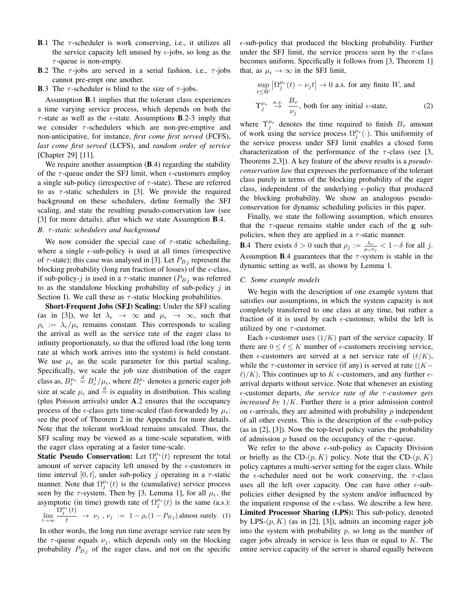- **B.1** The  $\tau$ -scheduler is work conserving, i.e., it utilizes all the service capacity left unused by  $\epsilon$ -jobs, so long as the  $\tau$ -queue is non-empty.
- **B.**2 The  $\tau$ -jobs are served in a serial fashion, i.e.,  $\tau$ -jobs cannot pre-empt one another.
- **B.**3 The  $\tau$ -scheduler is blind to the size of  $\tau$ -jobs.

Assumption B.1 implies that the tolerant class experiences a time varying service process, which depends on both the  $\tau$ -state as well as the  $\epsilon$ -state. Assumptions **B**.2-3 imply that we consider  $\tau$ -schedulers which are non-pre-emptive and non-anticipative, for instance, *first come first served* (FCFS), *last come first served* (LCFS), and *random order of service* [Chapter 29] [11].

We require another assumption (**B**.4) regarding the stability of the  $\tau$ -queue under the SFJ limit, when  $\epsilon$ -customers employ a single sub-policy (irrespective of  $\tau$ -state). These are referred to as  $\tau$ -static schedulers in [3]. We provide the required background on these schedulers, define formally the SFJ scaling, and state the resulting pseudo-conservation law (see [3] for more details), after which we state Assumption **B**.4.

## *B.* τ *-static schedulers and background*

We now consider the special case of  $\tau$ -static scheduling, where a single  $\epsilon$ -sub-policy is used at all times (irrespective of  $\tau$ -state); this case was analysed in [3]. Let  $P_{Bj}$  represent the blocking probability (long run fraction of losses) of the  $\epsilon$ -class, if sub-policy-j is used in a  $\tau$ -static manner ( $P_{Bj}$  was referred to as the standalone blocking probability of sub-policy  $j$  in Section I). We call these as  $\tau$ -static blocking probabilities.

Short-Frequent Jobs (SFJ) Scaling: Under the SFJ scaling (as in [3]), we let  $\lambda_{\epsilon} \rightarrow \infty$  and  $\mu_{\epsilon} \rightarrow \infty$ , such that  $\rho_{\epsilon} := \lambda_{\epsilon}/\mu_{\epsilon}$  remains constant. This corresponds to scaling the arrival as well as the service rate of the eager class to infinity proportionately, so that the offered load (the long term rate at which work arrives into the system) is held constant. We use  $\mu_{\epsilon}$  as the scale parameter for this partial scaling. Specifically, we scale the job size distribution of the eager class as,  $B^{\mu_{\epsilon}}_{\epsilon} \stackrel{d}{=} B^1_{\epsilon}/\mu_{\epsilon}$ , where  $B^{\mu_{\epsilon}}_{\epsilon}$  denotes a generic eager job size at scale  $\mu_{\epsilon}$  and  $\stackrel{d}{=}$  is equality in distribution. This scaling (plus Poisson arrivals) under A.2 ensures that the occupancy process of the  $\epsilon$ -class gets time-scaled (fast-forwarded) by  $\mu_{\epsilon}$ ; see the proof of Theorem 2 in the Appendix for more details. Note that the tolerant workload remains unscaled. Thus, the SFJ scaling may be viewed as a time-scale separation, with the eager class operating at a faster time-scale.

**Static Pseudo Conservation:** Let  $\Omega_j^{\mu_{\epsilon}}(t)$  represent the total amount of server capacity left unused by the  $\epsilon$ -customers in time interval [0, t], under sub-policy j operating in a  $\tau$ -static manner. Note that  $\Omega_j^{\mu_{\epsilon}}(t)$  is the (cumulative) service process seen by the  $\tau$ -system. Then by [3, Lemma 1], for all  $\mu_{\epsilon}$ , the asymptotic (in time) growth rate of  $\Omega_j^{\mu_\epsilon}(t)$  is the same (a.s.):  $\lim_{t\to\infty}\frac{\Omega_j^{\mu_{\epsilon}}(t)}{t}$  $\frac{\partial (x)}{\partial t}$   $\rightarrow$   $\nu_j$ ,  $\nu_j$  := 1 –  $\rho_{\epsilon}$ (1 –  $P_{Bj}$ ) almost surely. (1)

In other words, the long run time average service rate seen by the  $\tau$ -queue equals  $\nu_i$ , which depends only on the blocking probability  $P_{Bj}$  of the eager class, and not on the specific  $\epsilon$ -sub-policy that produced the blocking probability. Further under the SFJ limit, the service process seen by the  $\tau$ -class becomes uniform. Specifically it follows from [3, Theorem 1] that, as  $\mu_{\epsilon} \rightarrow \infty$  in the SFJ limit,

$$
\sup_{t \le W} \left| \Omega_j^{\mu_{\epsilon}}(t) - \nu_j t \right| \to 0 \text{ a.s. for any finite } W \text{, and}
$$
\n
$$
\Upsilon_j^{\mu_{\epsilon}} \stackrel{a.s.}{\to} \frac{B_{\tau}}{\nu_j}, \text{ both for any initial } \epsilon\text{-state}, \tag{2}
$$

where  $\Upsilon_j^{\mu_{\epsilon}}$  denotes the time required to finish  $B_{\tau}$  amount of work using the service process  $\Omega_j^{\mu_{\epsilon}}(\cdot)$ . This uniformity of the service process under SFJ limit enables a closed form characterization of the performance of the  $\tau$ -class (see [3, Theorems 2,3]). A key feature of the above results is a *pseudoconservation law* that expresses the performance of the tolerant class purely in terms of the blocking probability of the eager class, independent of the underlying  $\epsilon$ -policy that produced the blocking probability. We show an analogous pseudoconservation for dynamic scheduling policies in this paper.

Finally, we state the following assumption, which ensures that the  $\tau$ -queue remains stable under each of the g subpolicies, when they are applied in a  $\tau$ -static manner.

**B.**4 There exists  $\delta > 0$  such that  $\rho_j := \frac{\lambda_{\tau}}{\mu_{\tau} \nu_j} < 1 - \delta$  for all j. Assumption **B**.4 guarantees that the  $\tau$ -system is stable in the dynamic setting as well, as shown by Lemma 1.

#### *C. Some example models*

We begin with the description of one example system that satisfies our assumptions, in which the system capacity is not completely transferred to one class at any time, but rather a fraction of it is used by each  $\epsilon$ -customer, whilst the left is utilized by one  $\tau$ -customer.

Each  $\epsilon$ -customer uses  $(1/K)$  part of the service capacity. If there are  $0 \le \ell \le K$  number of  $\epsilon$ -customers receiving service, then  $\epsilon$ -customers are served at a net service rate of  $(\ell/K)$ , while the  $\tau$ -customer in service (if any) is served at rate ( $(K \ell$ /K). This continues up to K  $\epsilon$ -customers, and any further  $\epsilon$ arrival departs without service. Note that whenever an existing -customer departs, *the service rate of the* τ *-customer gets increased by* 1/K. Further there is a prior admission control on  $\epsilon$ -arrivals, they are admitted with probability p independent of all other events. This is the description of the  $\epsilon$ -sub-policy (as in [2], [3]). Now the top-level policy varies the probability of admission p based on the occupancy of the  $\tau$ -queue.

We refer to the above  $\epsilon$ -sub-policy as Capacity Division or briefly as the CD- $(p, K)$  policy. Note that the CD- $(p, K)$ policy captures a multi-server setting for the eager class. While the  $\epsilon$ -scheduler need not be work conserving, the  $\tau$ -class uses all the left over capacity. One can have other  $\epsilon$ -subpolicies either designed by the system and/or influenced by the impatient response of the  $\epsilon$ -class. We describe a few here. Limited Processor Sharing (LPS): This sub-policy, denoted by LPS- $(p, K)$  (as in [2], [3]), admits an incoming eager job into the system with probability  $p$ , so long as the number of eager jobs already in service is less than or equal to K. The entire service capacity of the server is shared equally between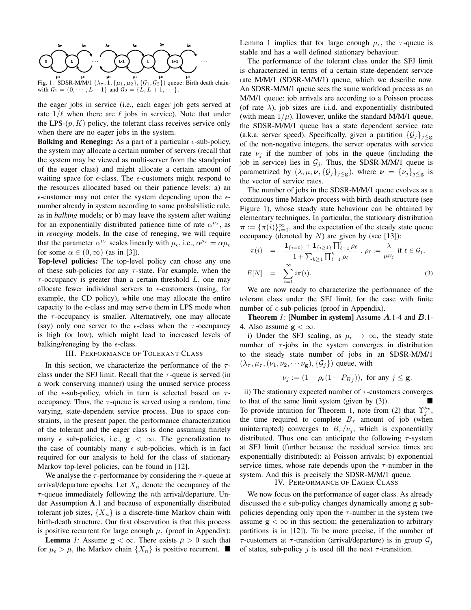

Fig. 1. SDSR-M/M/1  $(\lambda_{\tau}, 1, {\mu_1, \mu_2}, {\mathcal{G}_1, \mathcal{G}_2})$  queue: Birth death chainwith  $G_1 = \{0, \dots, L-1\}$  and  $G_2 = \{L, L+1, \dots\}$ .

the eager jobs in service (i.e., each eager job gets served at rate  $1/\ell$  when there are  $\ell$  jobs in service). Note that under the LPS- $(p, K)$  policy, the tolerant class receives service only when there are no eager jobs in the system.

**Balking and Reneging:** As a part of a particular  $\epsilon$ -sub-policy, the system may allocate a certain number of servers (recall that the system may be viewed as multi-server from the standpoint of the eager class) and might allocate a certain amount of waiting space for  $\epsilon$ -class. The  $\epsilon$ -customers might respond to the resources allocated based on their patience levels: a) an  $\epsilon$ -customer may not enter the system depending upon the  $\epsilon$ number already in system according to some probabilistic rule, as in *balking* models; or b) may leave the system after waiting for an exponentially distributed patience time of rate  $\alpha^{\mu_{\epsilon}}$ , as in *reneging* models. In the case of reneging, we will require that the parameter  $\alpha^{\mu_{\epsilon}}$  scales linearly with  $\mu_{\epsilon}$ , i.e.,  $\alpha^{\mu_{\epsilon}} = \alpha \mu_{\epsilon}$ for some  $\alpha \in (0,\infty)$  (as in [3]).

Top-level policies: The top-level policy can chose any one of these sub-policies for any  $\tau$ -state. For example, when the  $\tau$ -occupancy is greater than a certain threshold  $L$ , one may allocate fewer individual servers to  $\epsilon$ -customers (using, for example, the CD policy), while one may allocate the entire capacity to the  $\epsilon$ -class and may serve them in LPS mode when the  $\tau$ -occupancy is smaller. Alternatively, one may allocate (say) only one server to the  $\epsilon$ -class when the  $\tau$ -occupancy is high (or low), which might lead to increased levels of balking/reneging by the  $\epsilon$ -class.

## III. PERFORMANCE OF TOLERANT CLASS

In this section, we characterize the performance of the  $\tau$ class under the SFJ limit. Recall that the  $\tau$ -queue is served (in a work conserving manner) using the unused service process of the  $\epsilon$ -sub-policy, which in turn is selected based on  $\tau$ occupancy. Thus, the  $\tau$ -queue is served using a random, time varying, state-dependent service process. Due to space constraints, in the present paper, the performance characterization of the tolerant and the eager class is done assuming finitely many  $\epsilon$  sub-policies, i.e.,  $g < \infty$ . The generalization to the case of countably many  $\epsilon$  sub-policies, which is in fact required for our analysis to hold for the class of stationary Markov top-level policies, can be found in [12].

We analyse the  $\tau$ -performance by considering the  $\tau$ -queue at arrival/departure epochs. Let  $X_n$  denote the occupancy of the  $\tau$ -queue immediately following the *n*th arrival/departure. Under Assumption A.1 and because of exponentially distributed tolerant job sizes,  $\{X_n\}$  is a discrete-time Markov chain with birth-death structure. Our first observation is that this process is positive recurrent for large enough  $\mu_{\epsilon}$  (proof in Appendix):

**Lemma** *1:* Assume  $g < \infty$ . There exists  $\bar{\mu} > 0$  such that for  $\mu_{\epsilon} > \bar{\mu}$ , the Markov chain  $\{X_n\}$  is positive recurrent. Lemma 1 implies that for large enough  $\mu_{\epsilon}$ , the  $\tau$ -queue is stable and has a well defined stationary behaviour.

The performance of the tolerant class under the SFJ limit is characterized in terms of a certain state-dependent service rate M/M/1 (SDSR-M/M/1) queue, which we describe now. An SDSR-M/M/1 queue sees the same workload process as an M/M/1 queue: job arrivals are according to a Poisson process (of rate  $\lambda$ ), job sizes are i.i.d. and exponentially distributed (with mean  $1/\mu$ ). However, unlike the standard M/M/1 queue, the SDSR-M/M/1 queue has a state dependent service rate (a.k.a. server speed). Specifically, given a partition  $\{\mathcal{G}_j\}_{j\leq g}$ of the non-negative integers, the server operates with service rate  $\nu_i$  if the number of jobs in the queue (including the job in service) lies in  $G_j$ . Thus, the SDSR-M/M/1 queue is parametrized by  $(\lambda, \mu, \nu, {\mathcal{G}}_j)_{j \leq g}$ , where  $\nu = {\nu_j}_{j \leq g}$  is the vector of service rates.

The number of jobs in the SDSR-M/M/1 queue evolves as a continuous time Markov process with birth-death structure (see Figure 1), whose steady state behaviour can be obtained by elementary techniques. In particular, the stationary distribution  $\pi := {\{\pi(i)\}}_{i=0}^{\infty}$ , and the expectation of the steady state queue occupancy (denoted by  $N$ ) are given by (see [13]):

$$
\pi(i) = \frac{\mathbf{1}_{\{i=0\}} + \mathbf{1}_{\{i\geq 1\}} \prod_{\ell=1}^{i} \rho_{\ell}}{1 + \sum_{k\geq 1} \prod_{\ell=1}^{k} \rho_{\ell}}, \ \rho_{\ell} := \frac{\lambda}{\mu \nu_{j}} \text{ if } \ell \in \mathcal{G}_{j},
$$
  

$$
E[N] = \sum_{i=1}^{\infty} i \pi(i).
$$
 (3)

We are now ready to characterize the performance of the tolerant class under the SFJ limit, for the case with finite number of  $\epsilon$ -sub-policies (proof in Appendix).

Theorem *1:* [Number in system] Assume A.1-4 and B.1- 4. Also assume  $g < \infty$ .

i) Under the SFJ scaling, as  $\mu_{\epsilon} \to \infty$ , the steady state number of  $\tau$ -jobs in the system converges in distribution to the steady state number of jobs in an SDSR-M/M/1  $(\lambda_{\tau}, \mu_{\tau}, (\nu_1, \nu_2, \cdots \nu_{\mathbf{g}}), \{\mathcal{G}_i\})$  queue, with

$$
\nu_j := (1 - \rho_{\epsilon}(1 - P_{B_j})), \text{ for any } j \le \mathbf{g}.
$$

ii) The stationary expected number of  $\tau$ -customers converges to that of the same limit system (given by (3)). To provide intuition for Theorem 1, note from (2) that  $\Upsilon_j^{\mu_{\epsilon}}$ , the time required to complete  $B_{\tau}$  amount of job (when uninterrupted) converges to  $B_{\tau}/\nu_i$ , which is exponentially distributed. Thus one can anticipate the following  $\tau$ -system at SFJ limit (further because the residual service times are exponentially distributed): a) Poisson arrivals; b) exponential service times, whose rate depends upon the  $\tau$ -number in the system. And this is precisely the SDSR-M/M/1 queue.

IV. PERFORMANCE OF EAGER CLASS

We now focus on the performance of eager class. As already discussed the  $\epsilon$  sub-policy changes dynamically among g subpolicies depending only upon the  $\tau$ -number in the system (we assume  $g < \infty$  in this section; the generalization to arbitrary partitions is in [12]). To be more precise, if the number of τ-customers at τ-transition (arrival/departure) is in group  $\mathcal{G}_i$ of states, sub-policy *i* is used till the next  $\tau$ -transition.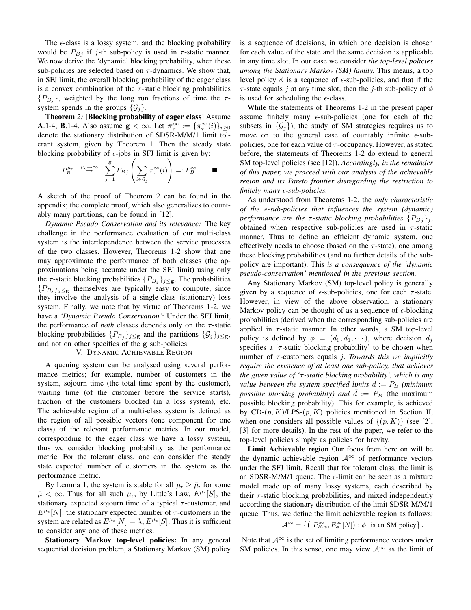The  $\epsilon$ -class is a lossy system, and the blocking probability would be  $P_{Bj}$  if j-th sub-policy is used in  $\tau$ -static manner. We now derive the 'dynamic' blocking probability, when these sub-policies are selected based on  $\tau$ -dynamics. We show that, in SFJ limit, the overall blocking probability of the eager class is a convex combination of the  $\tau$ -static blocking probabilities  $\{P_{B_j}\}\$ , weighted by the long run fractions of time the  $\tau$ system spends in the groups  $\{\mathcal{G}_i\}.$ 

Theorem *2:* [Blocking probability of eager class] Assume **A**.1-4, **B**.1-4. Also assume  $\mathbf{g} < \infty$ . Let  $\pi_{\tau}^{\infty} := {\pi_{\tau}^{\infty}(i)}_{i \geq 0}$ denote the stationary distribution of SDSR-M/M/1 limit tolerant system, given by Theorem 1. Then the steady state blocking probability of  $\epsilon$ -jobs in SFJ limit is given by:

$$
P_B^{\mu_{\epsilon}} \xrightarrow{\mu_{\epsilon \to \infty}} \sum_{j=1}^{g} P_{Bj} \left( \sum_{i \in \mathcal{G}_j} \pi_{\tau}^{\infty}(i) \right) =: P_B^{\infty}.
$$

A sketch of the proof of Theorem 2 can be found in the appendix; the complete proof, which also generalizes to countably many partitions, can be found in [12].

*Dynamic Pseudo Conservation and its relevance:* The key challenge in the performance evaluation of our multi-class system is the interdependence between the service processes of the two classes. However, Theorems 1-2 show that one may approximate the performance of both classes (the approximations being accurate under the SFJ limit) using only the  $\tau$ -static blocking probabilities  $\{P_{B_j}\}_{j\leq g}$ . The probabilities  ${P_{B_j}}_{j \leq g}$  themselves are typically easy to compute, since they involve the analysis of a single-class (stationary) loss system. Finally, we note that by virtue of Theorems 1-2, we have a *'Dynamic Pseudo Conservation'*: Under the SFJ limit, the performance of *both* classes depends only on the  $\tau$ -static blocking probabilities  $\{P_{B_j}\}_{j\leq \mathbf{g}}$  and the partitions  $\{\mathcal{G}_j\}_{j\leq \mathbf{g}},$ and not on other specifics of the g sub-policies.

#### V. DYNAMIC ACHIEVABLE REGION

A queuing system can be analysed using several performance metrics; for example, number of customers in the system, sojourn time (the total time spent by the customer), waiting time (of the customer before the service starts), fraction of the customers blocked (in a loss system), etc. The achievable region of a multi-class system is defined as the region of all possible vectors (one component for one class) of the relevant performance metrics. In our model, corresponding to the eager class we have a lossy system, thus we consider blocking probability as the performance metric. For the tolerant class, one can consider the steady state expected number of customers in the system as the performance metric.

By Lemma 1, the system is stable for all  $\mu_{\epsilon} \geq \bar{\mu}$ , for some  $\bar{\mu} < \infty$ . Thus for all such  $\mu_{\epsilon}$ , by Little's Law,  $E^{\mu_{\epsilon}}[S]$ , the stationary expected sojourn time of a typical  $\tau$ -customer, and  $E^{\mu_{\epsilon}}[N]$ , the stationary expected number of  $\tau$ -customers in the system are related as  $E^{\mu_{\epsilon}}[N] = \lambda_{\tau} E^{\mu_{\epsilon}}[S]$ . Thus it is sufficient to consider any one of these metrics.

Stationary Markov top-level policies: In any general sequential decision problem, a Stationary Markov (SM) policy is a sequence of decisions, in which one decision is chosen for each value of the state and the same decision is applicable in any time slot. In our case we consider *the top-level policies among the Stationary Markov (SM) family.* This means, a top level policy  $\phi$  is a sequence of  $\epsilon$ -sub-policies, and that if the  $\tau$ -state equals j at any time slot, then the j-th sub-policy of  $\phi$ is used for scheduling the  $\epsilon$ -class.

While the statements of Theorems 1-2 in the present paper assume finitely many  $\epsilon$ -sub-policies (one for each of the subsets in  $\{\mathcal{G}_i\}$ , the study of SM strategies requires us to move on to the general case of countably infinite  $\epsilon$ -subpolicies, one for each value of  $\tau$ -occupancy. However, as stated before, the statements of Theorems 1-2 do extend to general SM top-level policies (see [12]). *Accordingly, in the remainder of this paper, we proceed with our analysis of the achievable region and its Pareto frontier disregarding the restriction to finitely many -sub-policies.*

As understood from Theorems 1-2, the *only characteristic of the -sub-policies that influences the system (dynamic) performance are the*  $\tau$ -static blocking probabilities  $\{P_{B_i}\}\$ obtained when respective sub-policies are used in  $\tau$ -static manner. Thus to define an efficient dynamic system, one effectively needs to choose (based on the  $\tau$ -state), one among these blocking probabilities (and no further details of the subpolicy are important). This *is a consequence of the 'dynamic pseudo-conservation' mentioned in the previous section.*

Any Stationary Markov (SM) top-level policy is generally given by a sequence of  $\epsilon$ -sub-policies, one for each  $\tau$ -state. However, in view of the above observation, a stationary Markov policy can be thought of as a sequence of  $\epsilon$ -blocking probabilities (derived when the corresponding sub-policies are applied in  $\tau$ -static manner. In other words, a SM top-level policy is defined by  $\phi = (d_0, d_1, \dots)$ , where decision  $d_i$ specifies a ' $\tau$ -static blocking probability' to be chosen when number of τ -customers equals j. *Towards this we implicitly require the existence of at least one sub-policy, that achieves the given value of '*τ *-static blocking probability', which is any value between the system specified limits*  $\underline{d} := \underline{P_B}$  *(minimum*) *possible blocking probability) and*  $\overline{d} := \overline{P_B}$  (the maximum possible blocking probability). This for example, is achieved by CD- $(p, K)$ /LPS- $(p, K)$  policies mentioned in Section II, when one considers all possible values of  $\{(p, K)\}$  (see [2], [3] for more details). In the rest of the paper, we refer to the top-level policies simply as policies for brevity.

Limit Achievable region Our focus from here on will be the dynamic achievable region  $A^{\infty}$  of performance vectors under the SFJ limit. Recall that for tolerant class, the limit is an SDSR-M/M/1 queue. The  $\epsilon$ -limit can be seen as a mixture model made up of many lossy systems, each described by their  $\tau$ -static blocking probabilities, and mixed independently according the stationary distribution of the limit SDSR-M/M/1 queue. Thus, we define the limit achievable region as follows:

$$
\mathcal{A}^{\infty} = \left\{ \left( P_{B,\phi}^{\infty}, E_{\phi}^{\infty}[N] \right) : \phi \text{ is an SM policy} \right\}.
$$

Note that  $A^{\infty}$  is the set of limiting performance vectors under SM policies. In this sense, one may view  $A^{\infty}$  as the limit of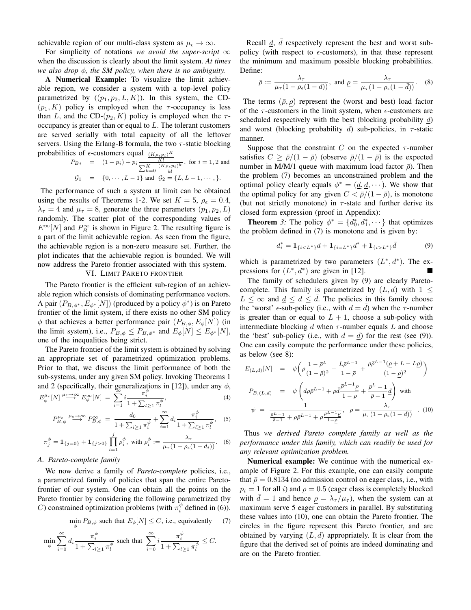achievable region of our multi-class system as  $\mu_{\epsilon} \to \infty$ .

For simplicity of notations *we avoid the super-script*  $\infty$ when the discussion is clearly about the limit system. *At times we also drop* φ*, the SM policy, when there is no ambiguity.*

A Numerical Example: To visualize the limit achievable region, we consider a system with a top-level policy parametrized by  $((p_1, p_2, L, K))$ . In this system, the CD- $(p_1, K)$  policy is employed when the  $\tau$ -occupancy is less than L, and the CD- $(p_2, K)$  policy is employed when the  $\tau$ occupancy is greater than or equal to L. The tolerant customers are served serially with total capacity of all the leftover servers. Using the Erlang-B formula, the two  $\tau$ -static blocking probabilities of  $\epsilon$ -customers equal  $(K \rho_{\epsilon} p_i)^K$ 

$$
P_{B_i} = (1 - p_i) + p_i \frac{\frac{(1 + p_i p_i)^2}{K!}}{\sum_{k=0}^{K} \frac{(K \rho_{\epsilon} p_i)^k}{k!}}, \text{ for } i = 1, 2 \text{ and}
$$
  

$$
G_1 = \{0, \cdots, L-1\} \text{ and } G_2 = \{L, L+1, \cdots, \}.
$$

The performance of such a system at limit can be obtained using the results of Theorems 1-2. We set  $K = 5$ ,  $\rho_{\epsilon} = 0.4$ ,  $\lambda_{\tau} = 4$  and  $\mu_{\tau} = 8$ , generate the three parameters  $(p_1, p_2, L)$ randomly. The scatter plot of the corresponding values of  $E^{\infty}[N]$  and  $P_B^{\infty}$  is shown in Figure 2. The resulting figure is a part of the limit achievable region. As seen from the figure, the achievable region is a non-zero measure set. Further, the plot indicates that the achievable region is bounded. We will now address the Pareto frontier associated with this system.

## VI. LIMIT PARETO FRONTIER

The Pareto frontier is the efficient sub-region of an achievable region which consists of dominating performance vectors. A pair  $(P_{B, \phi^*}, E_{\phi^*}[N])$  (produced by a policy  $\phi^*$ ) is on Pareto frontier of the limit system, if there exists no other SM policy  $\phi$  that achieves a better performance pair  $(P_{B,\phi}, E_{\phi}[N])$  (in the limit system), i.e.,  $P_{B,\phi} \leq P_{B,\phi^*}$  and  $E_{\phi}[N] \leq E_{\phi^*}[N]$ , one of the inequalities being strict.

The Pareto frontier of the limit system is obtained by solving an appropriate set of parametrized optimization problems. Prior to that, we discuss the limit performance of both the sub-systems, under any given SM policy. Invoking Theorems 1 and 2 (specifically, their generalizations in [12]), under any  $\phi$ ,<br>  $E^{\mu}_{\phi}[N] \xrightarrow{\mu \in \mathcal{N}} E^{\infty}_{\phi}[N] = \sum_{i}^{m} \underbrace{\overbrace{I_{i}^{*}}^{m}}_{i}$ , (4)

$$
E_{\phi}^{\mu_{\epsilon}}[N] \stackrel{\mu_{\epsilon} \to \infty}{\longrightarrow} E_{\phi}^{\infty}[N] = \sum_{i=1}^{N} i \frac{\pi_i^i}{1 + \sum_{l \ge 1} \pi_l^{\phi}}, \tag{4}
$$

$$
P_{B,\phi}^{\mu_{\epsilon}} \xrightarrow{\mu_{\epsilon \to \infty}} P_{B,\phi}^{\infty} = \frac{d_0}{1 + \sum_{i \ge 1} \pi_i^{\phi}} + \sum_{i=1}^{\infty} d_i \frac{\pi_i^{\phi}}{1 + \sum_{l \ge 1} \pi_l^{\phi}}, \quad (5)
$$

$$
\pi_j^{\phi} = \mathbf{1}_{\{j=0\}} + \mathbf{1}_{\{j>0\}} \prod_{i=1}^j \rho_i^{\phi}, \text{ with } \rho_i^{\phi} := \frac{\lambda_{\tau}}{\mu_{\tau} (1 - \rho_{\epsilon} (1 - d_i))}. \quad (6)
$$

### *A. Pareto-complete family*

We now derive a family of *Pareto-complete* policies, i.e., a parametrized family of policies that span the entire Paretofrontier of our system. One can obtain all the points on the Pareto frontier by considering the following parametrized (by C) constrained optimization problems (with  $\pi_i^{\phi}$  defined in (6)).

$$
\min_{\phi} P_{B,\phi} \text{ such that } E_{\phi}[N] \le C, \text{ i.e., equivalently } (7)
$$

$$
\min_{\phi} \sum_{i=0}^{\infty} d_i \frac{\pi_i^{\phi}}{1 + \sum_{l \ge 1} \pi_l^{\phi}} \text{ such that } \sum_{i=0}^{\infty} i \frac{\pi_i^{\phi}}{1 + \sum_{l \ge 1} \pi_l^{\phi}} \le C.
$$

Recall  $\underline{d}$ ,  $\overline{d}$  respectively represent the best and worst subpolicy (with respect to  $\epsilon$ -customers), in that these represent the minimum and maximum possible blocking probabilities. Define:

$$
\bar{\rho} := \frac{\lambda_{\tau}}{\mu_{\tau}(1 - \rho_{\epsilon}(1 - \underline{d}))}, \text{ and } \underline{\rho} = \frac{\lambda_{\tau}}{\mu_{\tau}(1 - \rho_{\epsilon}(1 - \bar{d}))}. \quad (8)
$$

The terms  $(\bar{\rho}, \rho)$  represent the (worst and best) load factor of the  $\tau$ -customers in the limit system, when  $\epsilon$ -customers are scheduled respectively with the best (blocking probability  $d$ ) and worst (blocking probability d) sub-policies, in  $\tau$ -static manner.

Suppose that the constraint C on the expected  $\tau$ -number satisfies  $C \ge \bar{\rho}/(1-\bar{\rho})$  (observe  $\bar{\rho}/(1-\bar{\rho})$  is the expected number in M/M/1 queue with maximum load factor  $\bar{\rho}$ ). Then the problem (7) becomes an unconstrained problem and the optimal policy clearly equals  $\phi^* = (\underline{d}, \underline{d}, \dots)$ . We show that the optimal policy for any given  $C < \bar{\rho}/(1-\bar{\rho})$ , is monotone (but not strictly monotone) in  $\tau$ -state and further derive its closed form expression (proof in Appendix):

**Theorem** 3: The policy  $\phi^* = \{d_0^*, d_1^*, \dots\}$  that optimizes the problem defined in (7) is monotone and is given by:

$$
d_i^* = \mathbf{1}_{\{i < L^*\}} \underline{d} + \mathbf{1}_{\{i = L^*\}} d^* + \mathbf{1}_{\{i > L^*\}} \overline{d} \tag{9}
$$

which is parametrized by two parameters  $(L^*, d^*)$ . The expressions for  $(L^*, d^*)$  are given in [12].

The family of schedulers given by (9) are clearly Paretocomplete. This family is parametrized by  $(L, d)$  with  $1 \leq$  $L \leq \infty$  and  $d \leq d \leq d$ . The policies in this family choose the 'worst'  $\epsilon$ -sub-policy (i.e., with  $d = d$ ) when the  $\tau$ -number is greater than or equal to  $L + 1$ , choose a sub-policy with intermediate blocking d when  $\tau$ -number equals L and choose the 'best' sub-policy (i.e., with  $d = d$ ) for the rest (see (9)). One can easily compute the performance under these policies, as below (see 8):

$$
E_{(L,d)}[N] = \psi \left( \bar{\rho} \frac{1 - \bar{\rho}^L}{(1 - \bar{\rho})^2} - \frac{L\bar{\rho}^{L-1}}{1 - \bar{\rho}} + \frac{\rho \bar{\rho}^{L-1}(\rho + L - L\rho)}{(1 - \rho)^2} \right)
$$
  
\n
$$
P_{B,(L,d)} = \psi \left( d\rho \bar{\rho}^{L-1} + \rho \bar{d} \frac{\bar{\rho}^{L-1}\rho}{1 - \rho} + \frac{\bar{\rho}^L - 1}{\bar{\rho} - 1} \frac{d}{d} \right) \text{ with}
$$
  
\n
$$
\psi = \frac{1}{\frac{\bar{\rho}^L - 1}{\bar{\rho} - 1} + \rho \bar{\rho}^{L-1} + \rho \frac{\bar{\rho}^{L-1}\rho}{1 - \rho}}, \quad \rho = \frac{\lambda \tau}{\mu \tau (1 - \rho_{\epsilon}(1 - d))} \quad . \quad (10)
$$

Thus *we derived Pareto complete family as well as the performance under this family, which can readily be used for any relevant optimization problem.*

Numerical example: We continue with the numerical example of Figure 2. For this example, one can easily compute that  $\bar{\rho} = 0.8134$  (no admission control on eager class, i.e., with  $p_i = 1$  for all i) and  $\rho = 0.5$  (eager class is completely blocked with  $d = 1$  and hence  $\rho = \lambda_{\tau}/\mu_{\tau}$ , when the system can at maximum serve 5 eager customers in parallel. By substituting these values into (10), one can obtain the Pareto frontier. The circles in the figure represent this Pareto frontier, and are obtained by varying  $(L, d)$  appropriately. It is clear from the figure that the derived set of points are indeed dominating and are on the Pareto frontier.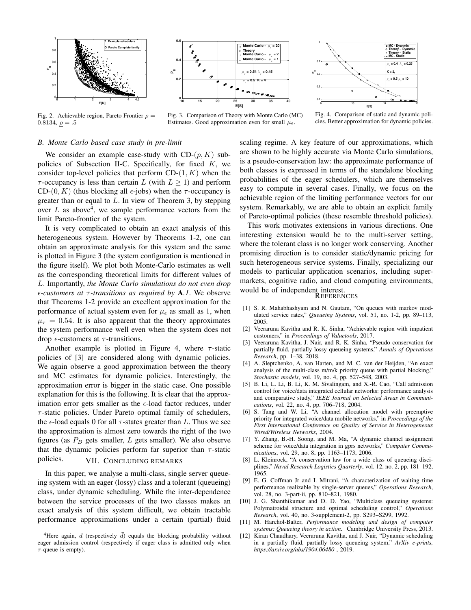

Fig. 2. Achievable region, Pareto Frontier  $\bar{\rho}$  =

0.8134,  $\rho = .5$ 



Fig. 3. Comparison of Theory with Monte Carlo (MC) Estimates. Good approximation even for small  $\mu_{\epsilon}$ .



Fig. 4. Comparison of static and dynamic policies. Better approximation for dynamic policies.

#### *B. Monte Carlo based case study in pre-limit*

We consider an example case-study with  $CD-(p, K)$  subpolicies of Subsection II-C. Specifically, for fixed  $K$ , we consider top-level policies that perform  $CD-(1, K)$  when the  $\tau$ -occupancy is less than certain L (with  $L \ge 1$ ) and perform CD- $(0, K)$  (thus blocking all  $\epsilon$ -jobs) when the  $\tau$ -occupancy is greater than or equal to  $L$ . In view of Theorem 3, by stepping over  $L$  as above<sup>4</sup>, we sample performance vectors from the limit Pareto-frontier of the system.

It is very complicated to obtain an exact analysis of this heterogeneous system. However by Theorems 1-2, one can obtain an approximate analysis for this system and the same is plotted in Figure 3 (the system configuration is mentioned in the figure itself). We plot both Monte-Carlo estimates as well as the corresponding theoretical limits for different values of L. Importantly, *the Monte Carlo simulations do not even drop -customers at* τ *-transitions as required by* A*.1*. We observe that Theorems 1-2 provide an excellent approximation for the performance of actual system even for  $\mu_{\epsilon}$  as small as 1, when  $\mu_{\tau} = 0.54$ . It is also apparent that the theory approximates the system performance well even when the system does not drop  $\epsilon$ -customers at  $\tau$ -transitions.

Another example is plotted in Figure 4, where  $\tau$ -static policies of [3] are considered along with dynamic policies. We again observe a good approximation between the theory and MC estimates for dynamic policies. Interestingly, the approximation error is bigger in the static case. One possible explanation for this is the following. It is clear that the approximation error gets smaller as the  $\epsilon$ -load factor reduces, under  $\tau$ -static policies. Under Pareto optimal family of schedulers, the  $\epsilon$ -load equals 0 for all  $\tau$ -states greater than L. Thus we see the approximation is almost zero towards the right of the two figures (as  $P_B$  gets smaller, L gets smaller). We also observe that the dynamic policies perform far superior than  $\tau$ -static policies. VII. CONCLUDING REMARKS

In this paper, we analyse a multi-class, single server queueing system with an eager (lossy) class and a tolerant (queueing) class, under dynamic scheduling. While the inter-dependence between the service processes of the two classes makes an exact analysis of this system difficult, we obtain tractable performance approximations under a certain (partial) fluid scaling regime. A key feature of our approximations, which are shown to be highly accurate via Monte Carlo simulations, is a pseudo-conservation law: the approximate performance of both classes is expressed in terms of the standalone blocking probabilities of the eager schedulers, which are themselves easy to compute in several cases. Finally, we focus on the achievable region of the limiting performance vectors for our system. Remarkably, we are able to obtain an explicit family of Pareto-optimal policies (these resemble threshold policies).

This work motivates extensions in various directions. One interesting extension would be to the multi-server setting, where the tolerant class is no longer work conserving. Another promising direction is to consider static/dynamic pricing for such heterogeneous service systems. Finally, specializing our models to particular application scenarios, including supermarkets, cognitive radio, and cloud computing environments, would be of independent interest.

#### **REFERENCES**

- [1] S. R. Mahabhashyam and N. Gautam, "On queues with markov modulated service rates," *Queueing Systems*, vol. 51, no. 1-2, pp. 89–113, 2005.
- [2] Veeraruna Kavitha and R. K. Sinha, "Achievable region with impatient customers," in *Proceedings of Valuetools*, 2017.
- [3] Veeraruna Kavitha, J. Nair, and R. K. Sinha, "Pseudo conservation for partially fluid, partially lossy queueing systems," *Annals of Operations Research*, pp. 1–38, 2018.
- [4] A. Sleptchenko, A. van Harten, and M. C. van der Heijden, "An exact analysis of the multi-class m/m/k priority queue with partial blocking," *Stochastic models*, vol. 19, no. 4, pp. 527–548, 2003.
- [5] B. Li, L. Li, B. Li, K. M. Sivalingam, and X.-R. Cao, "Call admission control for voice/data integrated cellular networks: performance analysis and comparative study," *IEEE Journal on Selected Areas in Communications*, vol. 22, no. 4, pp. 706–718, 2004.
- [6] S. Tang and W. Li, "A channel allocation model with preemptive priority for integrated voice/data mobile networks," in *Proceedings of the First International Conference on Quality of Service in Heterogeneous Wired/Wireless Networks*, 2004.
- [7] Y. Zhang, B.-H. Soong, and M. Ma, "A dynamic channel assignment scheme for voice/data integration in gprs networks," *Computer Communications*, vol. 29, no. 8, pp. 1163–1173, 2006.
- [8] L. Kleinrock, "A conservation law for a wide class of queueing disciplines," *Naval Research Logistics Quarterly*, vol. 12, no. 2, pp. 181–192, 1965.
- [9] E. G. Coffman Jr and I. Mitrani, "A characterization of waiting time performance realizable by single-server queues," *Operations Research*, vol. 28, no. 3-part-ii, pp. 810–821, 1980.
- [10] J. G. Shanthikumar and D. D. Yao, "Multiclass queueing systems: Polymatroidal structure and optimal scheduling control," *Operations Research*, vol. 40, no. 3-supplement-2, pp. S293–S299, 1992.
- [11] M. Harchol-Balter, *Performance modeling and design of computer systems: Queueing theory in action*. Cambridge University Press, 2013.
- [12] Kiran Chaudhary, Veeraruna Kavitha, and J. Nair, "Dynamic scheduling in a partially fluid, partially lossy queueing system," *ArXiv e-prints, https://arxiv.org/abs/1904.06480* , 2019.

<sup>&</sup>lt;sup>4</sup>Here again, <u>d</u> (respectively  $\overline{d}$ ) equals the blocking probability without eager admission control (respectively if eager class is admitted only when  $\tau$ -queue is empty).